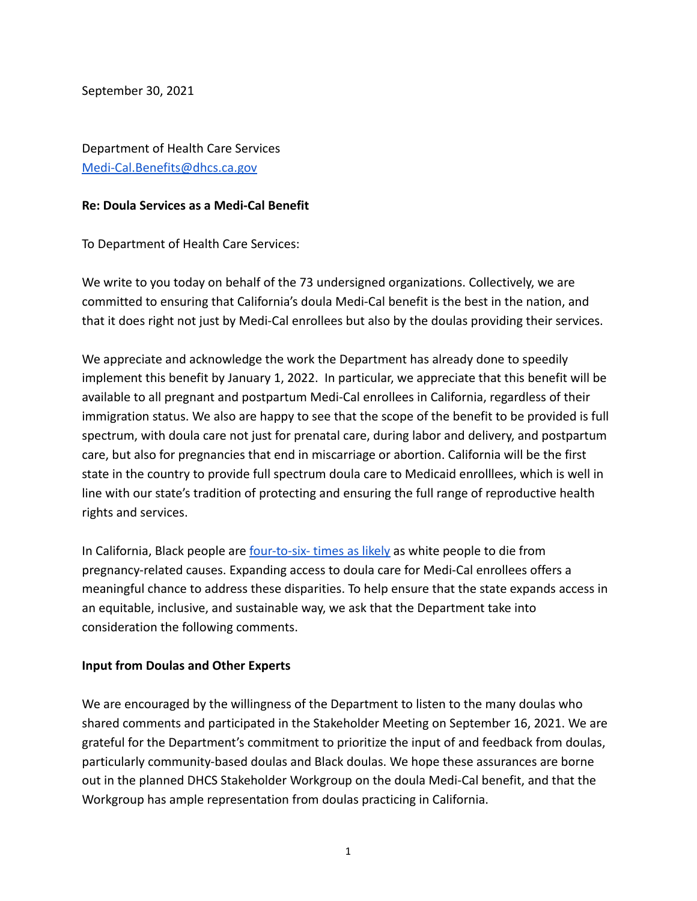September 30, 2021

Department of Health Care Services [Medi-Cal.Benefits@dhcs.ca.gov](mailto:Medi-Cal.Benefits@dhcs.ca.gov)

## **Re: Doula Services as a Medi-Cal Benefit**

To Department of Health Care Services:

We write to you today on behalf of the 73 undersigned organizations. Collectively, we are committed to ensuring that California's doula Medi-Cal benefit is the best in the nation, and that it does right not just by Medi-Cal enrollees but also by the doulas providing their services.

We appreciate and acknowledge the work the Department has already done to speedily implement this benefit by January 1, 2022. In particular, we appreciate that this benefit will be available to all pregnant and postpartum Medi-Cal enrollees in California, regardless of their immigration status. We also are happy to see that the scope of the benefit to be provided is full spectrum, with doula care not just for prenatal care, during labor and delivery, and postpartum care, but also for pregnancies that end in miscarriage or abortion. California will be the first state in the country to provide full spectrum doula care to Medicaid enrolllees, which is well in line with our state's tradition of protecting and ensuring the full range of reproductive health rights and services.

In California, Black people are [four-to-six- times](https://www.cdph.ca.gov/Programs/CFH/DMCAH/surveillance/Pages/CA-PMSS.aspx) as likely as white people to die from pregnancy-related causes. Expanding access to doula care for Medi-Cal enrollees offers a meaningful chance to address these disparities. To help ensure that the state expands access in an equitable, inclusive, and sustainable way, we ask that the Department take into consideration the following comments.

## **Input from Doulas and Other Experts**

We are encouraged by the willingness of the Department to listen to the many doulas who shared comments and participated in the Stakeholder Meeting on September 16, 2021. We are grateful for the Department's commitment to prioritize the input of and feedback from doulas, particularly community-based doulas and Black doulas. We hope these assurances are borne out in the planned DHCS Stakeholder Workgroup on the doula Medi-Cal benefit, and that the Workgroup has ample representation from doulas practicing in California.

1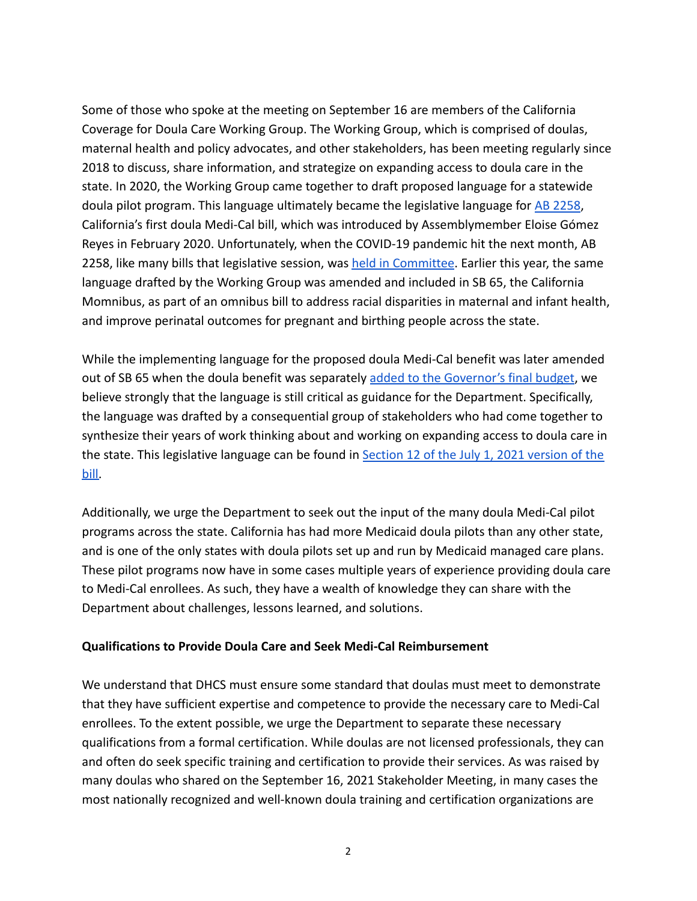Some of those who spoke at the meeting on September 16 are members of the California Coverage for Doula Care Working Group. The Working Group, which is comprised of doulas, maternal health and policy advocates, and other stakeholders, has been meeting regularly since 2018 to discuss, share information, and strategize on expanding access to doula care in the state. In 2020, the Working Group came together to draft proposed language for a statewide doula pilot program. This language ultimately became the legislative language for [AB 2258](https://leginfo.legislature.ca.gov/faces/billTextClient.xhtml?bill_id=201920200AB2258), California's first doula Medi-Cal bill, which was introduced by Assemblymember Eloise Gómez Reyes in February 2020. Unfortunately, when the COVID-19 pandemic hit the next month, AB 2258, like many bills that legislative session, was [held in Committee](https://healthlaw.org/news/california-doula-push-shifts-focus-due-to-covid-19-pandemic/). Earlier this year, the same language drafted by the Working Group was amended and included in SB 65, the California Momnibus, as part of an omnibus bill to address racial disparities in maternal and infant health, and improve perinatal outcomes for pregnant and birthing people across the state.

While the implementing language for the proposed doula Medi-Cal benefit was later amended out of SB 65 when the doula benefit was separately [added to the Governor's final budget,](https://wclp.org/joint-statement-california-budget-invests-in-pregnancy-and-birthing-health-momnibus-bill-can-go-further-to-address-adverse-birth-outcomes-in-ca/) we believe strongly that the language is still critical as guidance for the Department. Specifically, the language was drafted by a consequential group of stakeholders who had come together to synthesize their years of work thinking about and working on expanding access to doula care in the state. This legislative language can be found in [Section 12 of the July 1, 2021 version of the](https://leginfo.legislature.ca.gov/faces/billPdf.xhtml?bill_id=202120220SB65&version=20210SB6595AMD) [bill.](https://leginfo.legislature.ca.gov/faces/billPdf.xhtml?bill_id=202120220SB65&version=20210SB6595AMD)

Additionally, we urge the Department to seek out the input of the many doula Medi-Cal pilot programs across the state. California has had more Medicaid doula pilots than any other state, and is one of the only states with doula pilots set up and run by Medicaid managed care plans. These pilot programs now have in some cases multiple years of experience providing doula care to Medi-Cal enrollees. As such, they have a wealth of knowledge they can share with the Department about challenges, lessons learned, and solutions.

## **Qualifications to Provide Doula Care and Seek Medi-Cal Reimbursement**

We understand that DHCS must ensure some standard that doulas must meet to demonstrate that they have sufficient expertise and competence to provide the necessary care to Medi-Cal enrollees. To the extent possible, we urge the Department to separate these necessary qualifications from a formal certification. While doulas are not licensed professionals, they can and often do seek specific training and certification to provide their services. As was raised by many doulas who shared on the September 16, 2021 Stakeholder Meeting, in many cases the most nationally recognized and well-known doula training and certification organizations are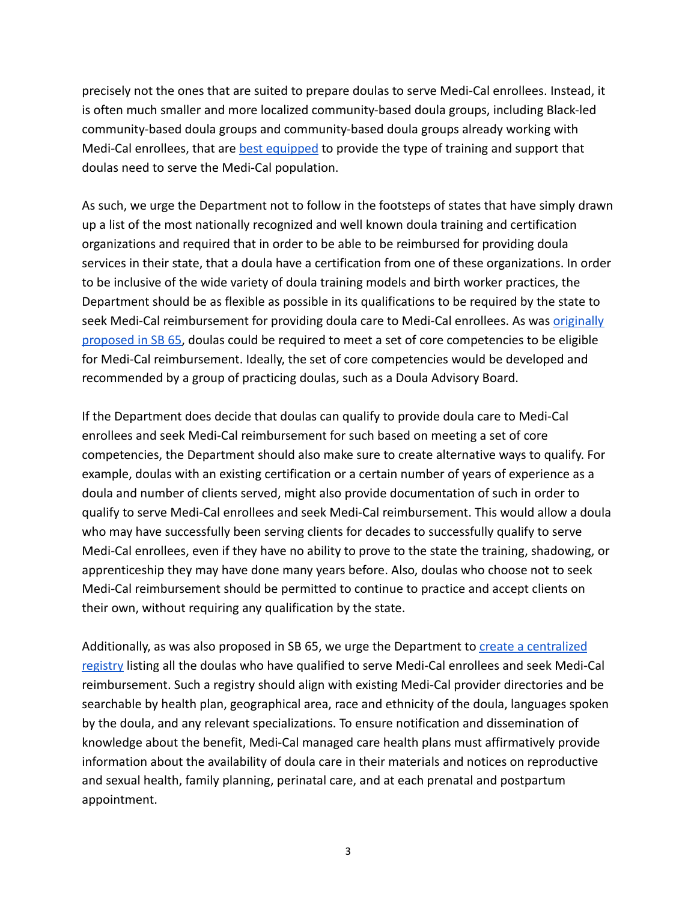precisely not the ones that are suited to prepare doulas to serve Medi-Cal enrollees. Instead, it is often much smaller and more localized community-based doula groups, including Black-led community-based doula groups and community-based doula groups already working with Medi-Cal enrollees, that are [best equipped](https://healthlaw.org/resource/doulareport/) to provide the type of training and support that doulas need to serve the Medi-Cal population.

As such, we urge the Department not to follow in the footsteps of states that have simply drawn up a list of the most nationally recognized and well known doula training and certification organizations and required that in order to be able to be reimbursed for providing doula services in their state, that a doula have a certification from one of these organizations. In order to be inclusive of the wide variety of doula training models and birth worker practices, the Department should be as flexible as possible in its qualifications to be required by the state to seek Medi-Cal reimbursement for providing doula care to Medi-Cal enrollees. As was [originally](https://leginfo.legislature.ca.gov/faces/billPdf.xhtml?bill_id=202120220SB65&version=20210SB6595AMD) [proposed in SB 65,](https://leginfo.legislature.ca.gov/faces/billPdf.xhtml?bill_id=202120220SB65&version=20210SB6595AMD) doulas could be required to meet a set of core competencies to be eligible for Medi-Cal reimbursement. Ideally, the set of core competencies would be developed and recommended by a group of practicing doulas, such as a Doula Advisory Board.

If the Department does decide that doulas can qualify to provide doula care to Medi-Cal enrollees and seek Medi-Cal reimbursement for such based on meeting a set of core competencies, the Department should also make sure to create alternative ways to qualify. For example, doulas with an existing certification or a certain number of years of experience as a doula and number of clients served, might also provide documentation of such in order to qualify to serve Medi-Cal enrollees and seek Medi-Cal reimbursement. This would allow a doula who may have successfully been serving clients for decades to successfully qualify to serve Medi-Cal enrollees, even if they have no ability to prove to the state the training, shadowing, or apprenticeship they may have done many years before. Also, doulas who choose not to seek Medi-Cal reimbursement should be permitted to continue to practice and accept clients on their own, without requiring any qualification by the state.

Additionally, as was also proposed in SB 65, we urge the Department to [create a centralized](https://leginfo.legislature.ca.gov/faces/billPdf.xhtml?bill_id=202120220SB65&version=20210SB6595AMD) [registry](https://leginfo.legislature.ca.gov/faces/billPdf.xhtml?bill_id=202120220SB65&version=20210SB6595AMD) listing all the doulas who have qualified to serve Medi-Cal enrollees and seek Medi-Cal reimbursement. Such a registry should align with existing Medi-Cal provider directories and be searchable by health plan, geographical area, race and ethnicity of the doula, languages spoken by the doula, and any relevant specializations. To ensure notification and dissemination of knowledge about the benefit, Medi-Cal managed care health plans must affirmatively provide information about the availability of doula care in their materials and notices on reproductive and sexual health, family planning, perinatal care, and at each prenatal and postpartum appointment.

3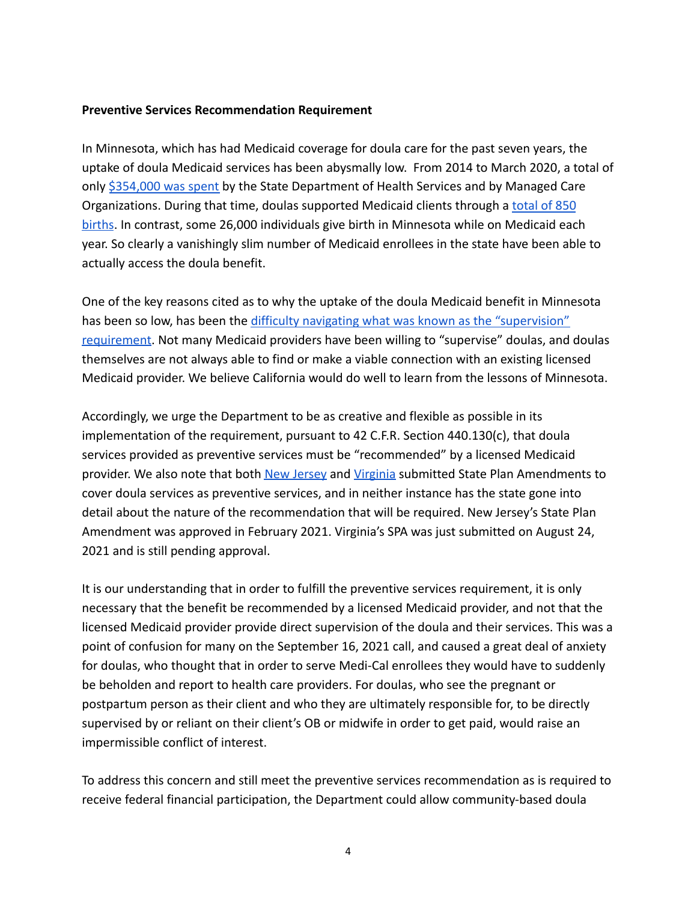### **Preventive Services Recommendation Requirement**

In Minnesota, which has had Medicaid coverage for doula care for the past seven years, the uptake of doula Medicaid services has been abysmally low. From 2014 to March 2020, a total of only [\\$354,000 was spent](https://doulaseriesfootnotes.com/minnesota-data.html) by the State Department of Health Services and by Managed Care Organizations. During that time, doulas supported Medicaid clients through a [total of 850](https://doulaseriesfootnotes.com/minnesota-data.html) [births](https://doulaseriesfootnotes.com/minnesota-data.html). In contrast, some 26,000 individuals give birth in Minnesota while on Medicaid each year. So clearly a vanishingly slim number of Medicaid enrollees in the state have been able to actually access the doula benefit.

One of the key reasons cited as to why the uptake of the doula Medicaid benefit in Minnesota has been so low, has been the difficulty navigating [what was known as the "supervision"](https://www.washingtonpost.com/graphics/2021/the-lily/using-a-doula-minnesota/) [requirement](https://www.washingtonpost.com/graphics/2021/the-lily/using-a-doula-minnesota/). Not many Medicaid providers have been willing to "supervise" doulas, and doulas themselves are not always able to find or make a viable connection with an existing licensed Medicaid provider. We believe California would do well to learn from the lessons of Minnesota.

Accordingly, we urge the Department to be as creative and flexible as possible in its implementation of the requirement, pursuant to 42 C.F.R. Section 440.130(c), that doula services provided as preventive services must be "recommended" by a licensed Medicaid provider. We also note that both [New Jersey](https://www.medicaid.gov/Medicaid/spa/downloads/NJ-20-0011.pdf) and [Virginia](https://www.dmas.virginia.gov/media/3791/spa-21-013-doula-services.pdf) submitted State Plan Amendments to cover doula services as preventive services, and in neither instance has the state gone into detail about the nature of the recommendation that will be required. New Jersey's State Plan Amendment was approved in February 2021. Virginia's SPA was just submitted on August 24, 2021 and is still pending approval.

It is our understanding that in order to fulfill the preventive services requirement, it is only necessary that the benefit be recommended by a licensed Medicaid provider, and not that the licensed Medicaid provider provide direct supervision of the doula and their services. This was a point of confusion for many on the September 16, 2021 call, and caused a great deal of anxiety for doulas, who thought that in order to serve Medi-Cal enrollees they would have to suddenly be beholden and report to health care providers. For doulas, who see the pregnant or postpartum person as their client and who they are ultimately responsible for, to be directly supervised by or reliant on their client's OB or midwife in order to get paid, would raise an impermissible conflict of interest.

To address this concern and still meet the preventive services recommendation as is required to receive federal financial participation, the Department could allow community-based doula

4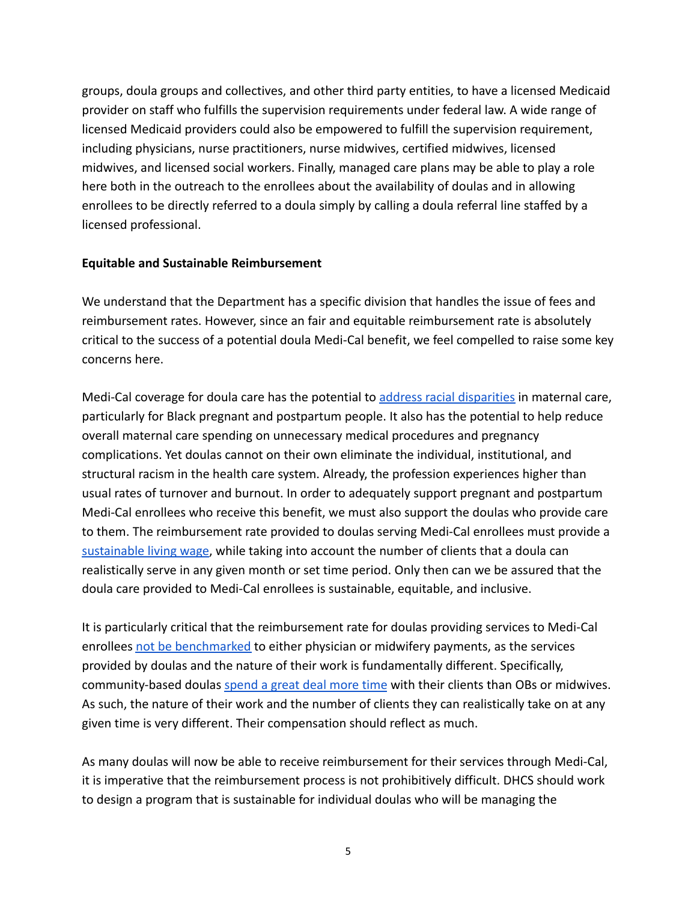groups, doula groups and collectives, and other third party entities, to have a licensed Medicaid provider on staff who fulfills the supervision requirements under federal law. A wide range of licensed Medicaid providers could also be empowered to fulfill the supervision requirement, including physicians, nurse practitioners, nurse midwives, certified midwives, licensed midwives, and licensed social workers. Finally, managed care plans may be able to play a role here both in the outreach to the enrollees about the availability of doulas and in allowing enrollees to be directly referred to a doula simply by calling a doula referral line staffed by a licensed professional.

#### **Equitable and Sustainable Reimbursement**

We understand that the Department has a specific division that handles the issue of fees and reimbursement rates. However, since an fair and equitable reimbursement rate is absolutely critical to the success of a potential doula Medi-Cal benefit, we feel compelled to raise some key concerns here.

Medi-Cal coverage for doula care has the potential to [address racial disparities](https://healthlaw.org/wp-content/uploads/2020/04/DoulasRacialDisparity_4.16.2020.pdf) in maternal care, particularly for Black pregnant and postpartum people. It also has the potential to help reduce overall maternal care spending on unnecessary medical procedures and pregnancy complications. Yet doulas cannot on their own eliminate the individual, institutional, and structural racism in the health care system. Already, the profession experiences higher than usual rates of turnover and burnout. In order to adequately support pregnant and postpartum Medi-Cal enrollees who receive this benefit, we must also support the doulas who provide care to them. The reimbursement rate provided to doulas serving Medi-Cal enrollees must provide a [sustainable living wage,](https://healthlaw.org/wp-content/uploads/2020/04/DoulasLivingWage_4.16.2020.pdf) while taking into account the number of clients that a doula can realistically serve in any given month or set time period. Only then can we be assured that the doula care provided to Medi-Cal enrollees is sustainable, equitable, and inclusive.

It is particularly critical that the reimbursement rate for doulas providing services to Medi-Cal enrollees [not be benchmarked](https://everymothercounts.org/wp-content/uploads/2019/03/Advancing-Birth-Justice-CBD-Models-as-Std-of-Care-3-25-19.pdf) to either physician or midwifery payments, as the services provided by doulas and the nature of their work is fundamentally different. Specifically, community-based doulas [spend a great deal more time](https://everymothercounts.org/wp-content/uploads/2019/03/Advancing-Birth-Justice-CBD-Models-as-Std-of-Care-3-25-19.pdf) with their clients than OBs or midwives. As such, the nature of their work and the number of clients they can realistically take on at any given time is very different. Their compensation should reflect as much.

As many doulas will now be able to receive reimbursement for their services through Medi-Cal, it is imperative that the reimbursement process is not prohibitively difficult. DHCS should work to design a program that is sustainable for individual doulas who will be managing the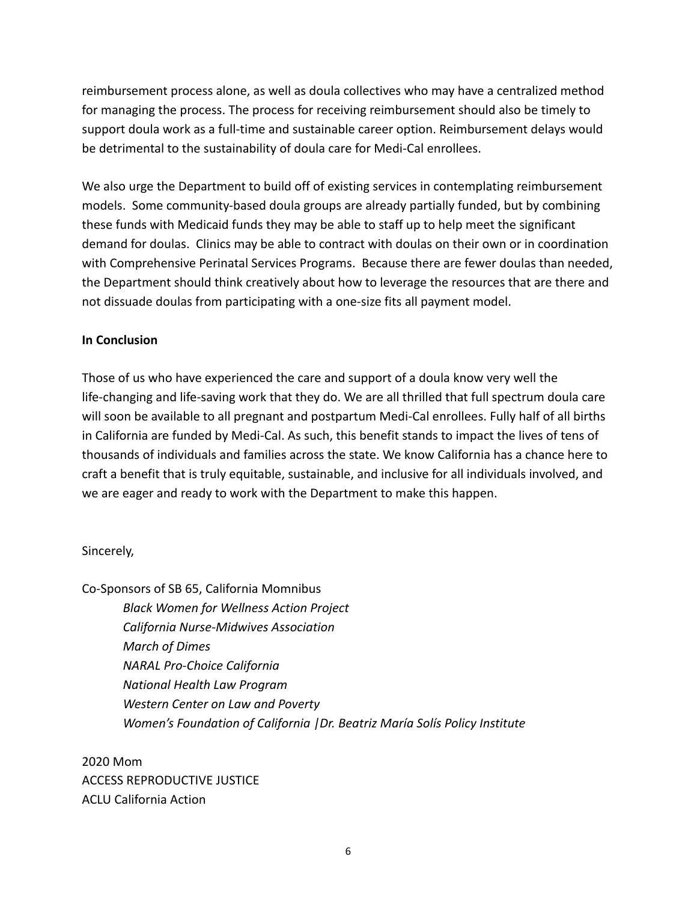reimbursement process alone, as well as doula collectives who may have a centralized method for managing the process. The process for receiving reimbursement should also be timely to support doula work as a full-time and sustainable career option. Reimbursement delays would be detrimental to the sustainability of doula care for Medi-Cal enrollees.

We also urge the Department to build off of existing services in contemplating reimbursement models. Some community-based doula groups are already partially funded, but by combining these funds with Medicaid funds they may be able to staff up to help meet the significant demand for doulas. Clinics may be able to contract with doulas on their own or in coordination with Comprehensive Perinatal Services Programs. Because there are fewer doulas than needed, the Department should think creatively about how to leverage the resources that are there and not dissuade doulas from participating with a one-size fits all payment model.

# **In Conclusion**

Those of us who have experienced the care and support of a doula know very well the life-changing and life-saving work that they do. We are all thrilled that full spectrum doula care will soon be available to all pregnant and postpartum Medi-Cal enrollees. Fully half of all births in California are funded by Medi-Cal. As such, this benefit stands to impact the lives of tens of thousands of individuals and families across the state. We know California has a chance here to craft a benefit that is truly equitable, sustainable, and inclusive for all individuals involved, and we are eager and ready to work with the Department to make this happen.

## Sincerely,

Co-Sponsors of SB 65, California Momnibus *Black Women for Wellness Action Project California Nurse-Midwives Association March of Dimes NARAL Pro-Choice California National Health Law Program Western Center on Law and Poverty Women's Foundation of California |Dr. Beatriz María Solís Policy Institute*

2020 Mom ACCESS REPRODUCTIVE JUSTICE ACLU California Action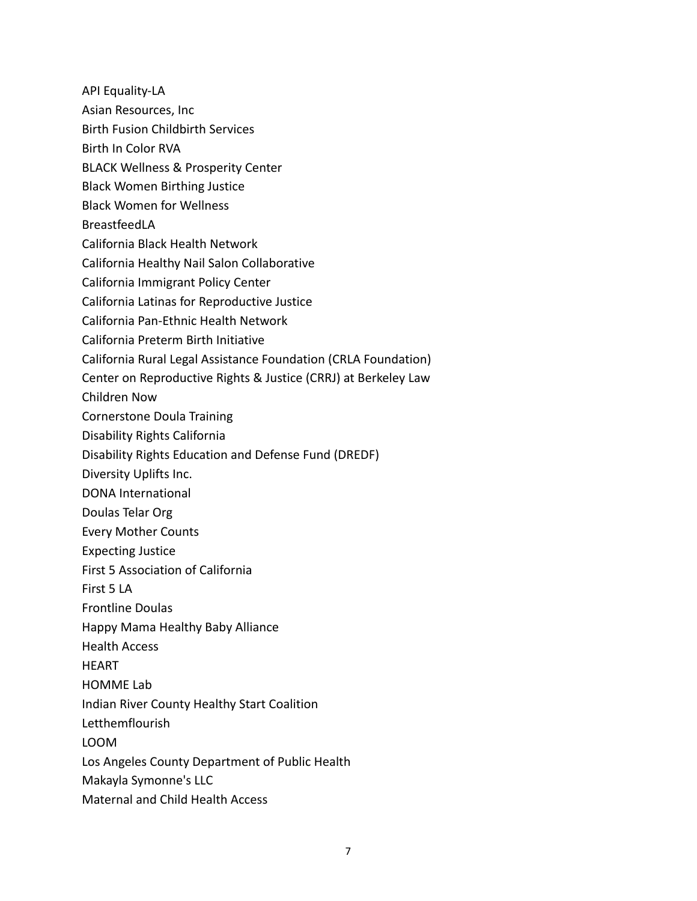API Equality-LA

- Asian Resources, Inc
- Birth Fusion Childbirth Services
- Birth In Color RVA
- BLACK Wellness & Prosperity Center
- Black Women Birthing Justice
- Black Women for Wellness
- BreastfeedLA
- California Black Health Network
- California Healthy Nail Salon Collaborative
- California Immigrant Policy Center
- California Latinas for Reproductive Justice
- California Pan-Ethnic Health Network
- California Preterm Birth Initiative
- California Rural Legal Assistance Foundation (CRLA Foundation)
- Center on Reproductive Rights & Justice (CRRJ) at Berkeley Law
- Children Now
- Cornerstone Doula Training
- Disability Rights California
- Disability Rights Education and Defense Fund (DREDF)
- Diversity Uplifts Inc.
- DONA International
- Doulas Telar Org
- Every Mother Counts
- Expecting Justice
- First 5 Association of California
- First 5 LA
- Frontline Doulas
- Happy Mama Healthy Baby Alliance
- Health Access
- **HFART**
- HOMME Lab
- Indian River County Healthy Start Coalition
- Letthemflourish
- LOOM
- Los Angeles County Department of Public Health
- Makayla Symonne's LLC
- Maternal and Child Health Access